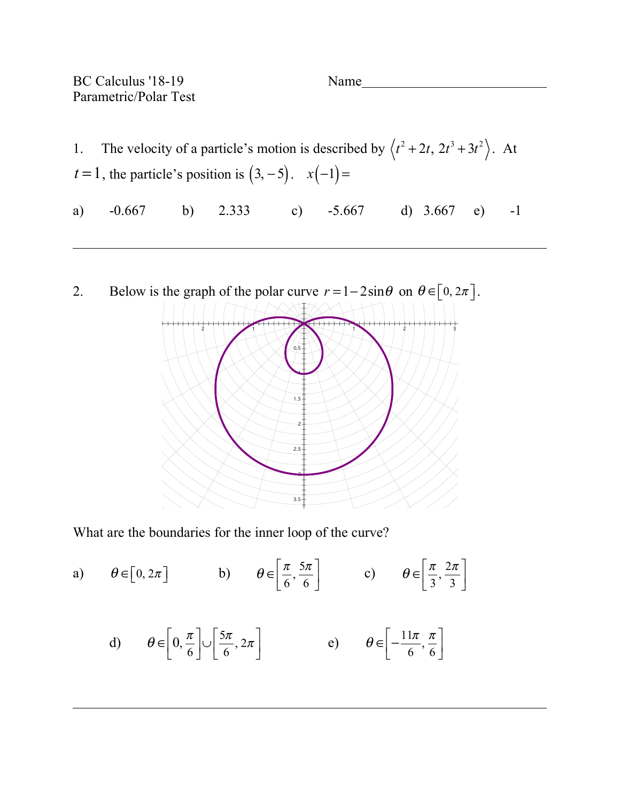BC Calculus '18-19 Name Parametric/Polar Test

1. The velocity of a particle's motion is described by  $\langle t^2 + 2t, 2t^3 + 3t^2 \rangle$ . At  $t = 1$ , the particle's position is  $(3, -5)$ .  $x(-1) = 0$ a) -0.667 b) 2.333 c) -5.667 d) 3.667 e) -1

2. Below is the graph of the polar curve  $r = 1 - 2\sin\theta$  on  $\theta \in [0, 2\pi]$ . 0.5 1 1.5 2  $2.5 -$ 3  $3.5 -$ 2 1 1 2 3

What are the boundaries for the inner loop of the curve?

a)  $\theta \in [0, 2\pi]$  b)  $\theta \in \left[\frac{\pi}{6}, \frac{5\pi}{6}\right]$  c) 6  $\frac{5\pi}{4}$ 6  $\mathsf{L}$ ⎣  $\left|\frac{\pi}{6}, \frac{5\pi}{6}\right|$ ⎦ (c)  $\theta \in \left|\frac{\pi}{3}\right|$ 3  $\frac{2\pi}{\sqrt{2}}$ 3  $\mathsf{L}$ ⎣  $\left|\frac{\pi}{3},\frac{2\pi}{3}\right|$ ⎦  $\overline{\phantom{a}}$ 

d) 
$$
\theta \in \left[0, \frac{\pi}{6}\right] \cup \left[\frac{5\pi}{6}, 2\pi\right]
$$
 e)  $\theta \in \left[-\frac{11\pi}{6}, \frac{\pi}{6}\right]$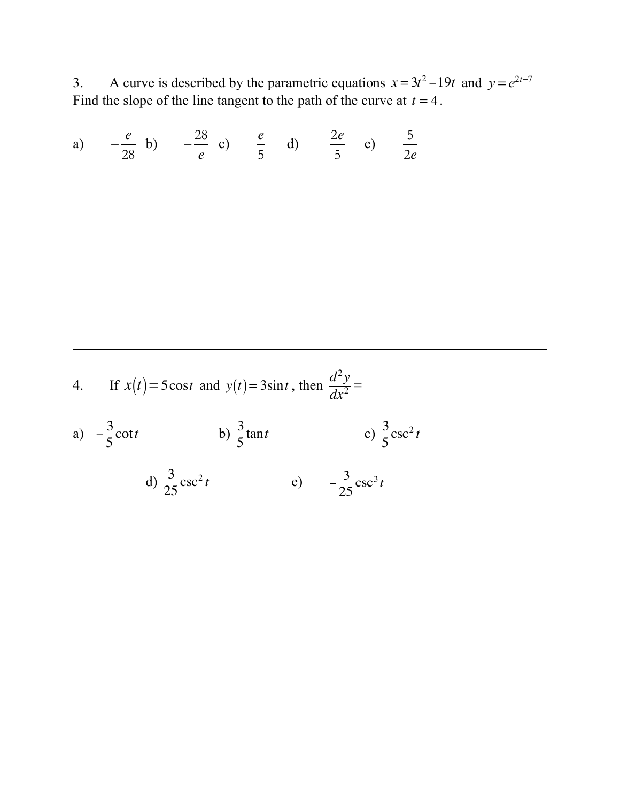3. A curve is described by the parametric equations  $x = 3t^2 - 19t$  and Find the slope of the line tangent to the path of the curve at  $t = 4$ .  $x = 3t^2 - 19t$  and  $y = e^{2t-7}$  $t = 4$ 

a) 
$$
-\frac{e}{28}
$$
 b)  $-\frac{28}{e}$  c)  $\frac{e}{5}$  d)  $\frac{2e}{5}$  e)  $\frac{5}{2e}$ 

4. If 
$$
x(t) = 5\cos t
$$
 and  $y(t) = 3\sin t$ , then  $\frac{d^2y}{dx^2} =$ 

a) 
$$
-\frac{3}{5}\cot t
$$
 b)  $\frac{3}{5}\tan t$  c)  $\frac{3}{5}\csc^2 t$ 

d) 
$$
\frac{3}{25} \csc^2 t
$$
 e)  $-\frac{3}{25} \csc^3 t$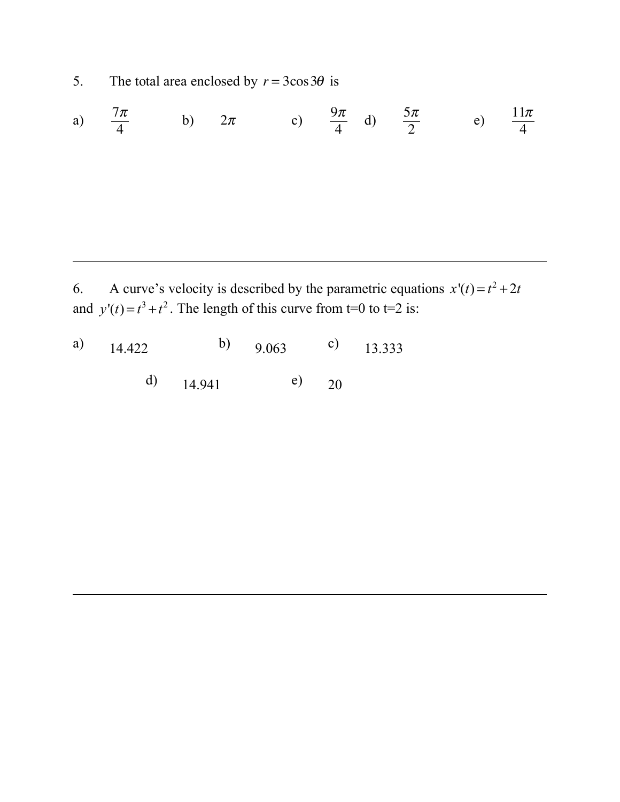5. The total area enclosed by  $r = 3\cos 3\theta$  is

a) 
$$
\frac{7\pi}{4}
$$
 b)  $2\pi$  c)  $\frac{9\pi}{4}$  d)  $\frac{5\pi}{2}$  e)  $\frac{11\pi}{4}$ 

6. A curve's velocity is described by the parametric equations  $x'(t) = t^2 + 2t$ and  $y'(t) = t^3 + t^2$ . The length of this curve from t=0 to t=2 is:

| a) $14.422$ |             | b) $9.063$ |    | c) $13.333$ |
|-------------|-------------|------------|----|-------------|
|             | d) $14.941$ |            | 20 |             |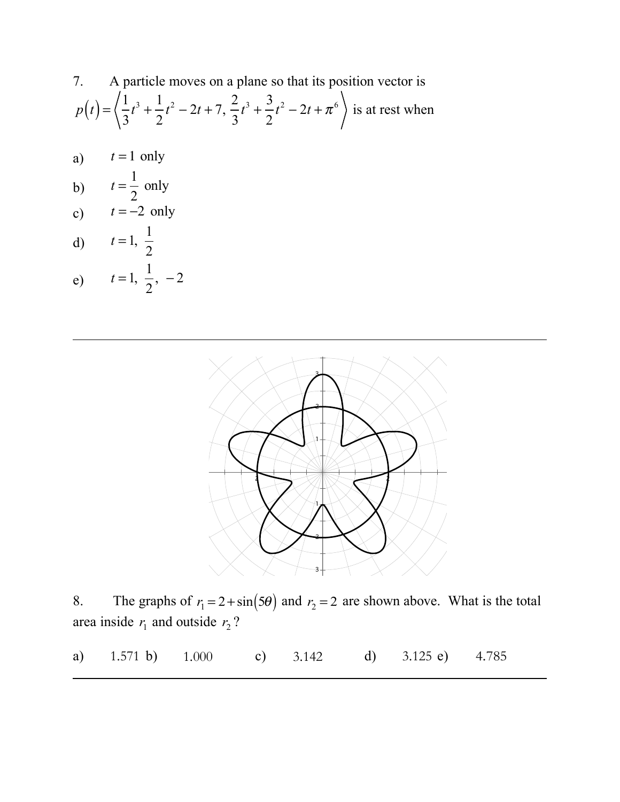7. A particle moves on a plane so that its position vector is  
\n
$$
p(t) = \left\langle \frac{1}{3}t^3 + \frac{1}{2}t^2 - 2t + 7, \frac{2}{3}t^3 + \frac{3}{2}t^2 - 2t + \pi^6 \right\rangle
$$
 is at rest when

- a)  $t = 1$  only
- b)  $t = \frac{1}{2}$  only 2
- c)  $t = -2$  only  $t = -2$
- d) e)  $t = 1, \frac{1}{2}$  $t = 1, \frac{1}{2}$ 2 2  $, -2$



8. The graphs of  $r_1 = 2 + \sin(5\theta)$  and  $r_2 = 2$  are shown above. What is the total area inside  $r_1$  and outside  $r_2$ ?

a)  $1.571 \text{ b}$   $1.000 \text{ c}$   $3.142 \text{ d}$   $3.125 \text{ e}$   $4.785$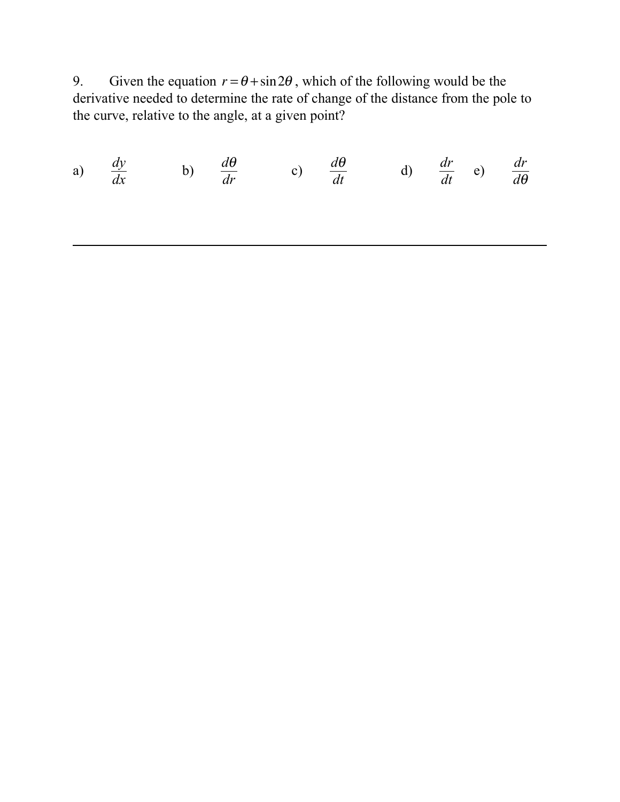9. Given the equation  $r = \theta + \sin 2\theta$ , which of the following would be the derivative needed to determine the rate of change of the distance from the pole to the curve, relative to the angle, at a given point?

a) 
$$
\frac{dy}{dx}
$$
 b)  $\frac{d\theta}{dr}$  c)  $\frac{d\theta}{dt}$  d)  $\frac{dr}{dt}$  e)  $\frac{dr}{d\theta}$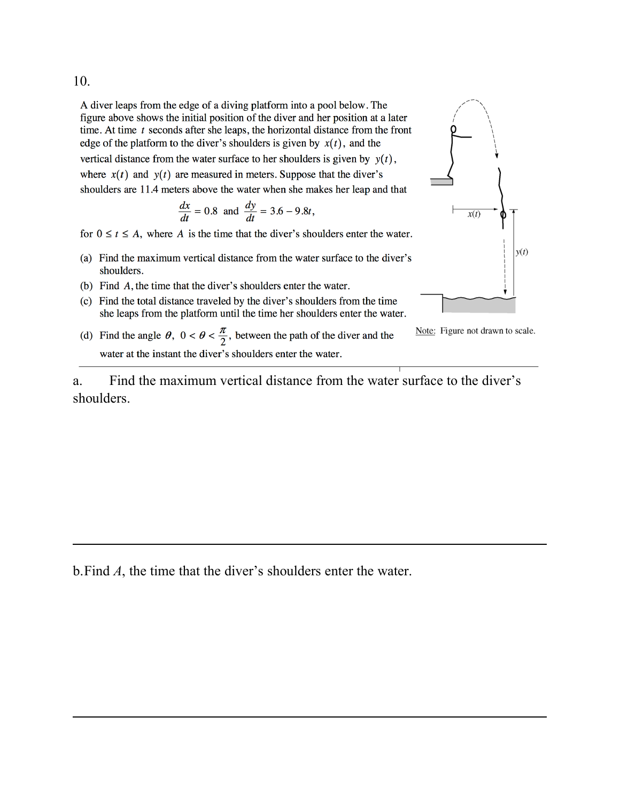10.

A diver leaps from the edge of a diving platform into a pool below. The figure above shows the initial position of the diver and her position at a later time. At time  $t$  seconds after she leaps, the horizontal distance from the front edge of the platform to the diver's shoulders is given by  $x(t)$ , and the vertical distance from the water surface to her shoulders is given by  $y(t)$ , where  $x(t)$  and  $y(t)$  are measured in meters. Suppose that the diver's shoulders are 11.4 meters above the water when she makes her leap and that

$$
\frac{dx}{dt} = 0.8 \text{ and } \frac{dy}{dt} = 3.6 - 9.8t,
$$

for  $0 \le t \le A$ , where A is the time that the diver's shoulders enter the water.

- (a) Find the maximum vertical distance from the water surface to the diver's shoulders.
- (b) Find A, the time that the diver's shoulders enter the water.
- (c) Find the total distance traveled by the diver's shoulders from the time she leaps from the platform until the time her shoulders enter the water.
- (d) Find the angle  $\theta$ ,  $0 < \theta < \frac{\pi}{2}$ , between the path of the diver and the water at the instant the diver's shoulders enter the water.



Note: Figure not drawn to scale.

a. Find the maximum vertical distance from the water surface to the diver's shoulders.

b.Find *A*, the time that the diver's shoulders enter the water.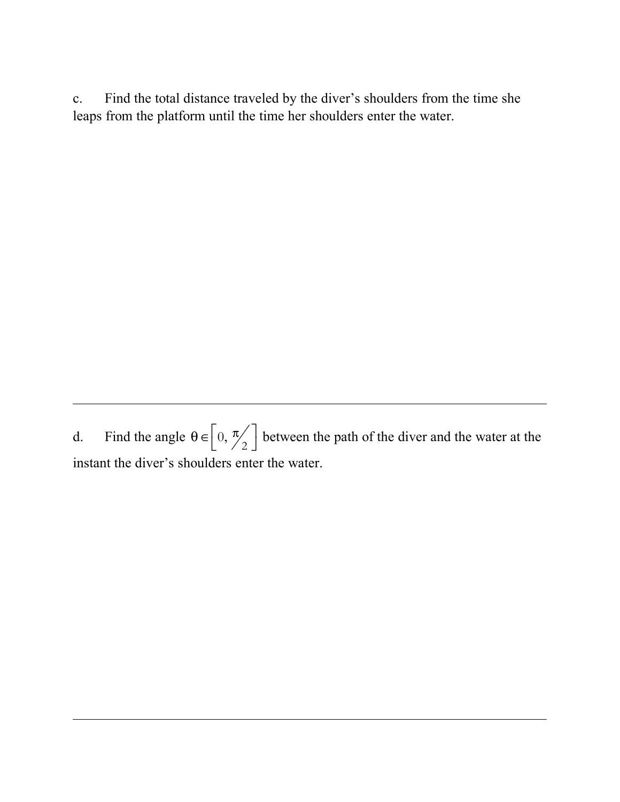c. Find the total distance traveled by the diver's shoulders from the time she leaps from the platform until the time her shoulders enter the water.

d. Find the angle  $\theta \in \left[0, \frac{\pi}{2}\right]$  between the path of the diver and the water at the instant the diver's shoulders enter the water. 2  $\left[0,\frac{\pi}{2}\right]$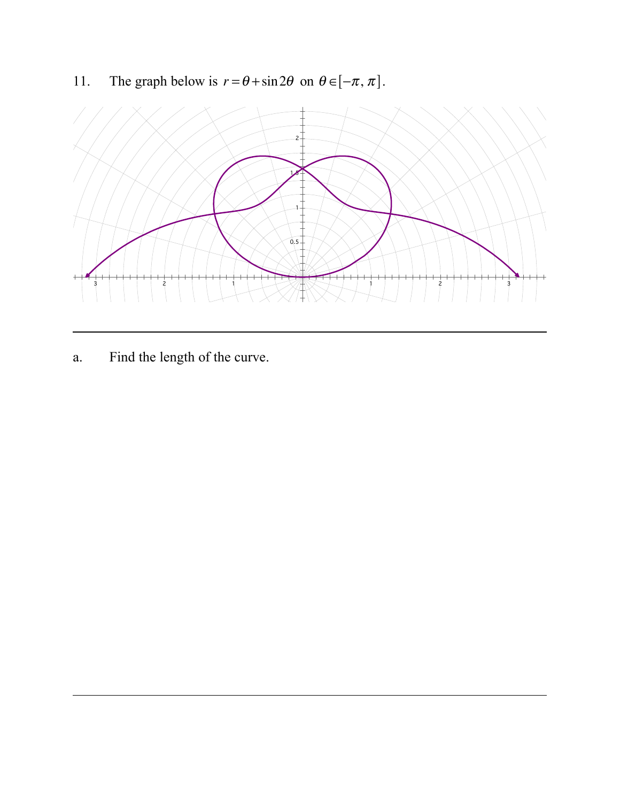11. The graph below is  $r = \theta + \sin 2\theta$  on  $\theta \in [-\pi, \pi]$ .



a. Find the length of the curve.